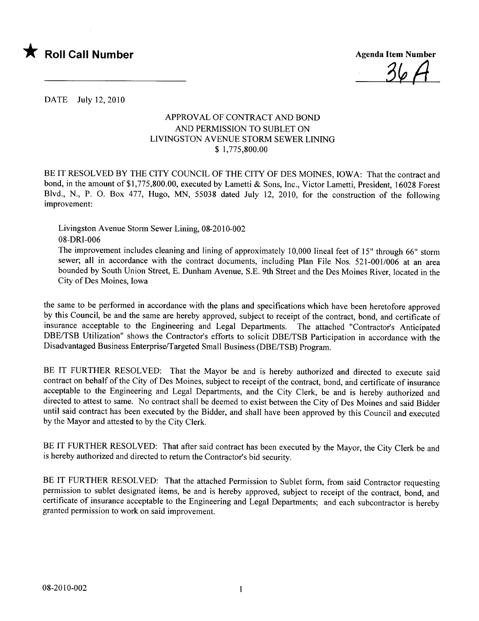

DATE July 12,2010

## APPROV AL OF CONTRACT AND BOND AND PERMISSION TO SUBLET ON LIVINGSTON AVENUE STORM SEWER LINING \$ 1,775,800.00

BE IT RESOLVED BY THE CITY COUNCIL OF THE CITY OF DES MOINES, IOWA: That the contract and bond, in the amount of \$1,775,800.00, executed by Lametti & Sons, Inc., Victor Lametti, President, 16028 Forest Blvd., N., P. O. Box 477, Hugo, MN, 55038 dated July 12, 2010, for the construction of the following improvement:

Livingston Avenue Storm Sewer Lining, 08-2010-002 08-DRI-006

The improvement includes cleaning and lining of approximately 10,000 lineal feet of 15" through 66" storm sewer; all in accordance with the contract documents, including Plan File Nos. 521-001/006 at an area bounded by South Union Street, E. Dunham Avenue, S.E. 9th Street and the Des Moines River, located in the City of Des Moines, Iowa

the same to be performed in accordance with the plans and specifications which have been heretofore approved by this Council, be and the same are hereby approved, subject to receipt of the contract, bond, and certificate of insurance acceptable to the Engineering and Legal Departments. The attached "Contractor's Anticipated DBE/TSB Utilization" shows the Contractor's efforts to solicit DBE/TSB Participation in accordance with the Disadvantaged Business Enterprise/Targeted Small Business (DBE/TSB) Program.

BE IT FURTHER RESOLVED: That the Mayor be and is hereby authorized and directed to execute said contract on behalf of the City of Des Moines, subject to receipt of the contract, bond, and certificate of insurance acceptable to the Engineering and Legal Departments, and the City Clerk, be and is hereby authorized and directed to attest to same. No contract shall be deemed to exist between the City of Des Moines and said Bidder until said contract has been executed by the Bidder, and shall have been approved by this Council and executed by the Mayor and attested to by the City Clerk.

BE IT FURTHER RESOLVED: That after said contract has been executed by the Mayor, the City Clerk be and is hereby authorized and directed to return the Contractor's bid security.

BE IT FURTHER RESOLVED: That the attached Permission to Sublet form, from said Contractor requesting permission to sublet designated items, be and is hereby approved, subject to receipt of the contract, bond, and certificate of insurance acceptable to the Engineering and Legal Departments; and each subcontractor is hereby granted permission to work on said improvement.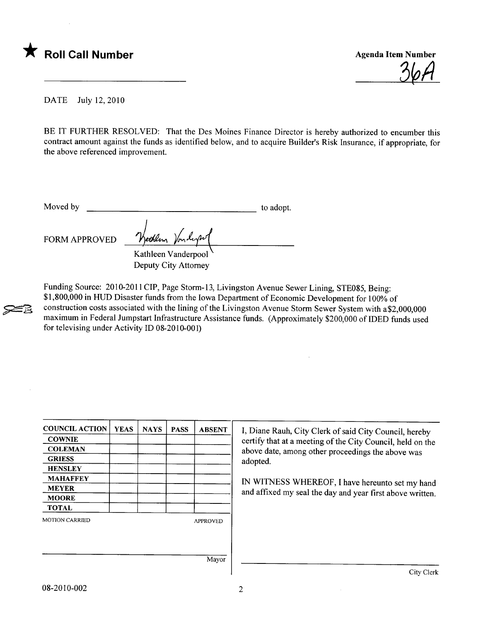

 $36H$ 

DATE July 12,2010

BE IT FURTHER RESOLVED: That the Des Moines Finance Director is hereby authorized to encumber this contract amount against the funds as identified below, and to acquire Builder's Risk Insurance, if appropriate, for the above referenced improvement.

**200** 

Moved by to adopt.

FORM APPROVED

Weeklem Vonderpool Deputy City Attorney

Funding Source: 2010-2011 CIP, Page Storm-13, Livingston Avenue Sewer Lining, STE085, Being: \$1,800,000 in HUD Disaster funds from the Iowa Department of Economic Development for 100% of construction costs associated with the lining of the Livingston Avenue Storm Sewer System with a\$2,000,000 maximum in Federal Jumpstart Infrastructure Assistance funds. (Approximately \$200,000 of IDED funds used for televising under Activity ID  $08-2010-001$ )

| <b>COUNCIL ACTION</b> | <b>YEAS</b> | <b>NAYS</b> | <b>PASS</b> | <b>ABSENT</b>   |
|-----------------------|-------------|-------------|-------------|-----------------|
| <b>COWNIE</b>         |             |             |             |                 |
| <b>COLEMAN</b>        |             |             |             |                 |
| <b>GRIESS</b>         |             |             |             |                 |
| <b>HENSLEY</b>        |             |             |             |                 |
| <b>MAHAFFEY</b>       |             |             |             |                 |
| <b>MEYER</b>          |             |             |             |                 |
| <b>MOORE</b>          |             |             |             |                 |
| <b>TOTAL</b>          |             |             |             |                 |
| <b>MOTION CARRIED</b> |             |             |             | <b>APPROVED</b> |
|                       |             |             |             |                 |
|                       |             |             |             |                 |
|                       |             |             |             | $\sim$          |

I, Diane Rauh, City Clerk of said City Council, hereby certify that at a meeting of the City Council, held on the above date, among other proceedings the above was adopted.

IN WITNESS WHEREOF, I have hereunto set my hand and affixed my seal the day and year first above written.

Mayor